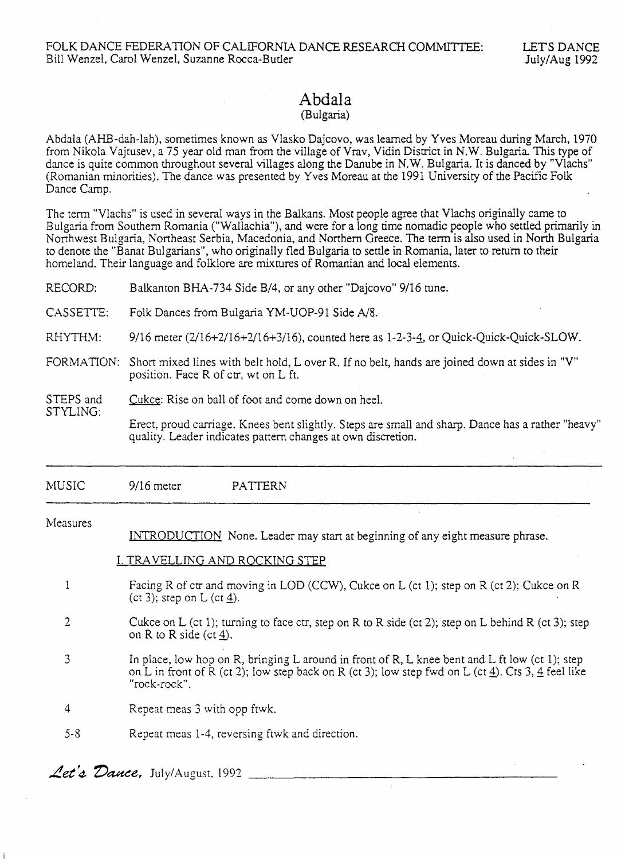# Abdala

## (Bulgaria)

Abdala (AHB-dah-lah), sometimes known as Vlasko Dajcovo, was learned by Yves Moreau during March, 1970 from Nikola Vajtusev, a 75 year old man from the village of Vrav, Vidin District in N.W. Bulgaria. This type of dance is quite common throughout several villages along the Danube in N.W. Bulgaria. It is danced by "Vlachs" (Romanian minorities). The dance was presented by Yves Moreau at the 1991 University of the Pacific Folk Dance Camp.

The term "Vlachs" is used in several ways in the Balkans. Most people agree that Vlachs originally came to Bulgaria from Southern Romania ("Wallachia"), and were for a long time nomadic people who settled primarily in Northwest Bulgaria, Northeast Serbia, Macedonia, and Northern Greece. The term is also used in North Bulgaria to denote the "Banat Bulgarians", who originally fled Bulgaria to settle in Romania, later to renirn to their homeland. Their language and folklore are mixtures of Romanian and local elements.

| RECORD:               | Balkanton BHA-734 Side B/4, or any other "Dajcovo" 9/16 tune.                                                                                                                                                        |
|-----------------------|----------------------------------------------------------------------------------------------------------------------------------------------------------------------------------------------------------------------|
| CASSETTE:             | Folk Dances from Bulgaria YM-UOP-91 Side A/8.                                                                                                                                                                        |
| RHYTHM:               | 9/16 meter (2/16+2/16+2/16+3/16), counted here as 1-2-3-4, or Quick-Quick-Quick-SLOW.                                                                                                                                |
| FORMATION:            | Short mixed lines with belt hold, L over R. If no belt, hands are joined down at sides in "V"<br>position. Face R of ctr, wt on L ft.                                                                                |
| STEPS and<br>STYLING: | Cukce: Rise on ball of foot and come down on heel.                                                                                                                                                                   |
|                       | Erect, proud carriage. Knees bent slightly. Steps are small and sharp. Dance has a rather "heavy"<br>quality. Leader indicates pattern changes at own discretion.                                                    |
|                       |                                                                                                                                                                                                                      |
| MUSIC                 | $9/16$ meter<br>PATTERN                                                                                                                                                                                              |
| Measures              |                                                                                                                                                                                                                      |
|                       | INTRODUCTION None. Leader may start at beginning of any eight measure phrase.                                                                                                                                        |
|                       | <u>I. TRAVELLING AND ROCKING STEP</u>                                                                                                                                                                                |
| 1                     | Facing R of ctr and moving in LOD (CCW), Cukce on L (ct 1); step on R (ct 2); Cukce on R<br>(ct 3); step on L (ct $\underline{4}$ ).                                                                                 |
| $\overline{2}$        | Cukce on L (ct 1); turning to face ctr, step on R to R side (ct 2); step on L behind R (ct 3); step<br>on R to R side (ct $\underline{4}$ ).                                                                         |
| 3                     | In place, low hop on R, bringing L around in front of R, L knee bent and L ft low (ct 1); step<br>on L in front of R (ct 2); low step back on R (ct 3); low step fwd on L (ct 4). Cts 3, 4 feel like<br>"rock-rock". |
| 4                     | Repeat meas 3 with opp ftwk.                                                                                                                                                                                         |
| $5 - 8$               | Repeat meas 1-4, reversing ftwk and direction.                                                                                                                                                                       |
|                       |                                                                                                                                                                                                                      |

Let's Dance, July/August, 1992